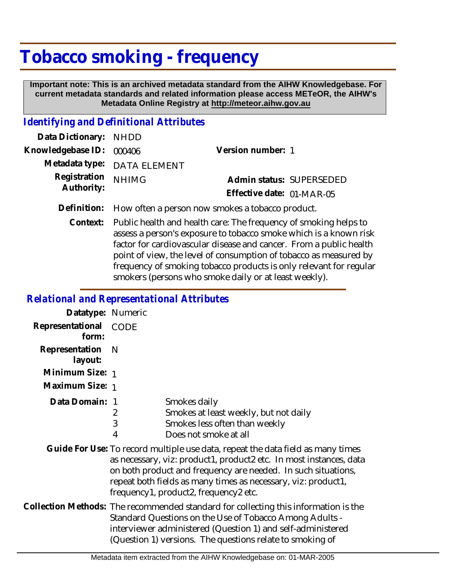## **Tobacco smoking - frequency**

 **Important note: This is an archived metadata standard from the AIHW Knowledgebase. For current metadata standards and related information please access METeOR, the AIHW's Metadata Online Registry at http://meteor.aihw.gov.au**

## *Identifying and Definitional Attributes*

| Data Dictionary: NHDD            |                             |                           |  |
|----------------------------------|-----------------------------|---------------------------|--|
| Knowledgebase ID: 000406         |                             | Version number: 1         |  |
|                                  | Metadata type: DATA ELEMENT |                           |  |
| Registration NHIMG<br>Authority: |                             | Admin status: SUPERSEDED  |  |
|                                  |                             | Effective date: 01-MAR-05 |  |
|                                  |                             |                           |  |

**Definition:** How often a person now smokes a tobacco product.

Public health and health care: The frequency of smoking helps to assess a person's exposure to tobacco smoke which is a known risk factor for cardiovascular disease and cancer. From a public health point of view, the level of consumption of tobacco as measured by frequency of smoking tobacco products is only relevant for regular smokers (persons who smoke daily or at least weekly). **Context:**

## *Relational and Representational Attributes*

| Datatype: Numeric         |             |                                                                                                                                                                                                                                                                                                                                           |
|---------------------------|-------------|-------------------------------------------------------------------------------------------------------------------------------------------------------------------------------------------------------------------------------------------------------------------------------------------------------------------------------------------|
| Representational<br>form: | CODE        |                                                                                                                                                                                                                                                                                                                                           |
| Representation<br>layout: | N           |                                                                                                                                                                                                                                                                                                                                           |
| Minimum Size: 1           |             |                                                                                                                                                                                                                                                                                                                                           |
| Maximum Size: 1           |             |                                                                                                                                                                                                                                                                                                                                           |
| Data Domain: 1            | 2<br>3<br>4 | Smokes daily<br>Smokes at least weekly, but not daily<br>Smokes less often than weekly<br>Does not smoke at all<br>Guide For Use: To record multiple use data, repeat the data field as many times<br>as necessary, viz: product1, product2 etc. In most instances, data<br>on both product and frequency are needed. In such situations, |
|                           |             | repeat both fields as many times as necessary, viz: product1,<br>frequency1, product2, frequency2 etc.                                                                                                                                                                                                                                    |
|                           |             | Collection Methods: The recommended standard for collecting this information is the<br>Standard Questions on the Use of Tobacco Among Adults -<br>interviewer administered (Question 1) and self-administered<br>(Question 1) versions. The questions relate to smoking of                                                                |